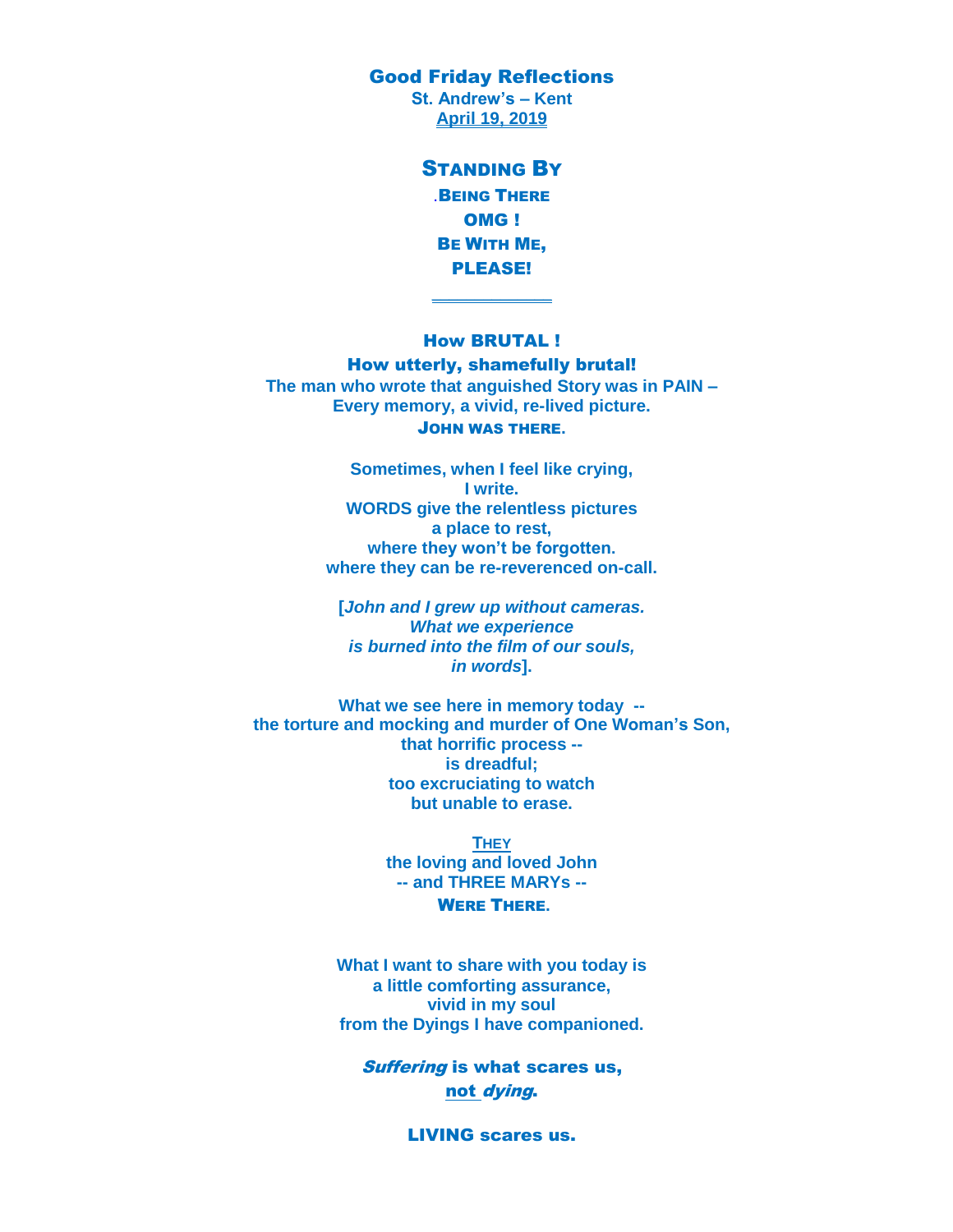Good Friday Reflections

**St. Andrew's – Kent April 19, 2019**

> STANDING BY .BEING THERE OMG ! BE WITH ME, PLEASE!

### How BRUTAL !

 $\frac{1}{2}$ 

How utterly, shamefully brutal! **The man who wrote that anguished Story was in PAIN – Every memory, a vivid, re-lived picture.** JOHN WAS THERE**.**

> **Sometimes, when I feel like crying, I write. WORDS give the relentless pictures a place to rest, where they won't be forgotten. where they can be re-reverenced on-call.**

**[***John and I grew up without cameras. What we experience is burned into the film of our souls, in words***].**

**What we see here in memory today - the torture and mocking and murder of One Woman's Son, that horrific process - is dreadful; too excruciating to watch but unable to erase.**

> **THEY the loving and loved John -- and THREE MARYs --** WERE THERE**.**

**What I want to share with you today is a little comforting assurance, vivid in my soul from the Dyings I have companioned.**

Suffering is what scares us, not dying.

LIVING scares us.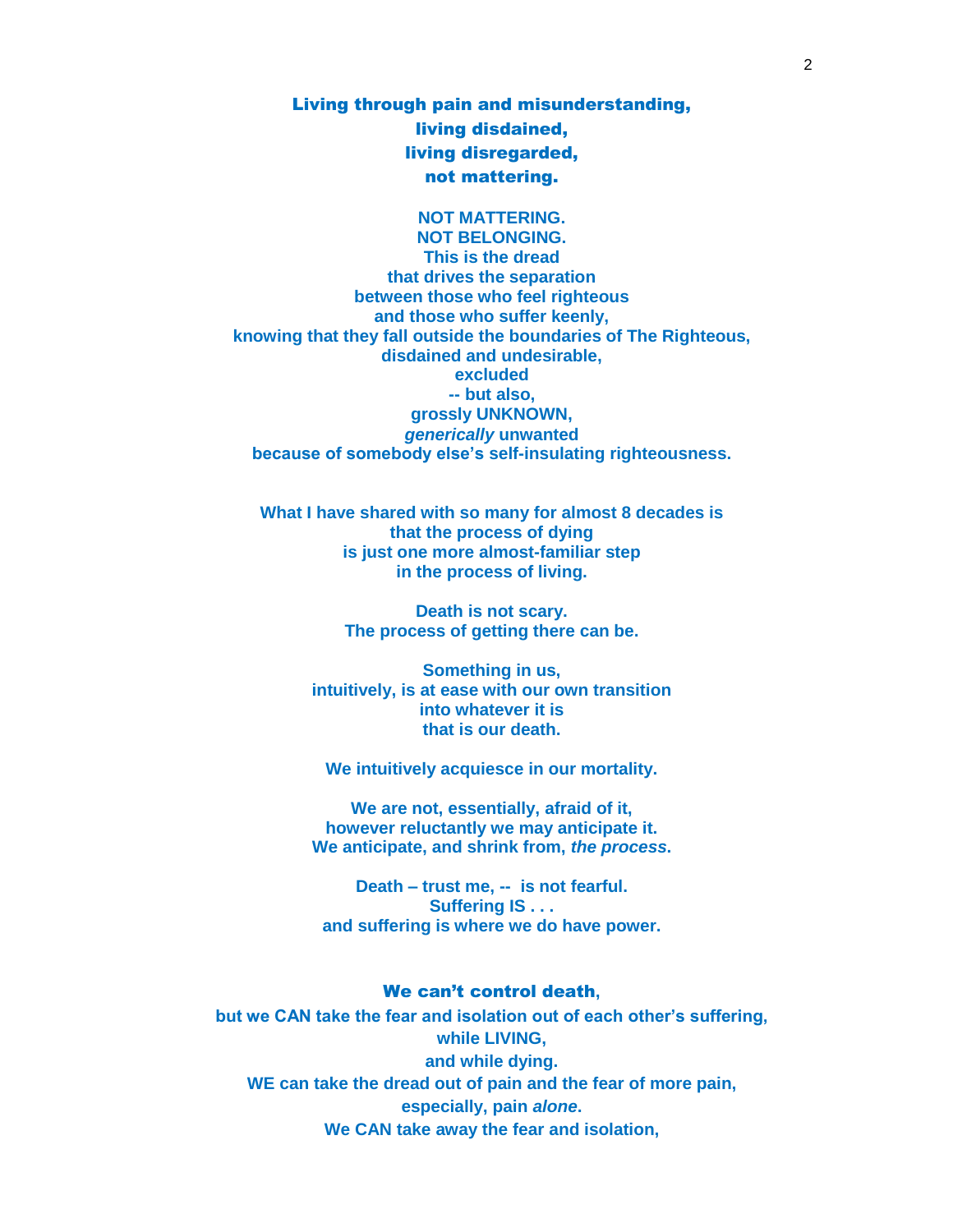Living through pain and misunderstanding, living disdained, living disregarded, not mattering.

**NOT MATTERING. NOT BELONGING. This is the dread that drives the separation between those who feel righteous and those who suffer keenly, knowing that they fall outside the boundaries of The Righteous, disdained and undesirable, excluded -- but also, grossly UNKNOWN,**  *generically* **unwanted because of somebody else's self-insulating righteousness.**

**What I have shared with so many for almost 8 decades is that the process of dying is just one more almost-familiar step in the process of living.**

> **Death is not scary. The process of getting there can be.**

**Something in us, intuitively, is at ease with our own transition into whatever it is that is our death.**

**We intuitively acquiesce in our mortality.**

**We are not, essentially, afraid of it, however reluctantly we may anticipate it. We anticipate, and shrink from,** *the process***.**

**Death – trust me, -- is not fearful. Suffering IS . . . and suffering is where we do have power.**

### We can't control death**,**

**but we CAN take the fear and isolation out of each other's suffering, while LIVING, and while dying. WE can take the dread out of pain and the fear of more pain, especially, pain** *alone***. We CAN take away the fear and isolation,**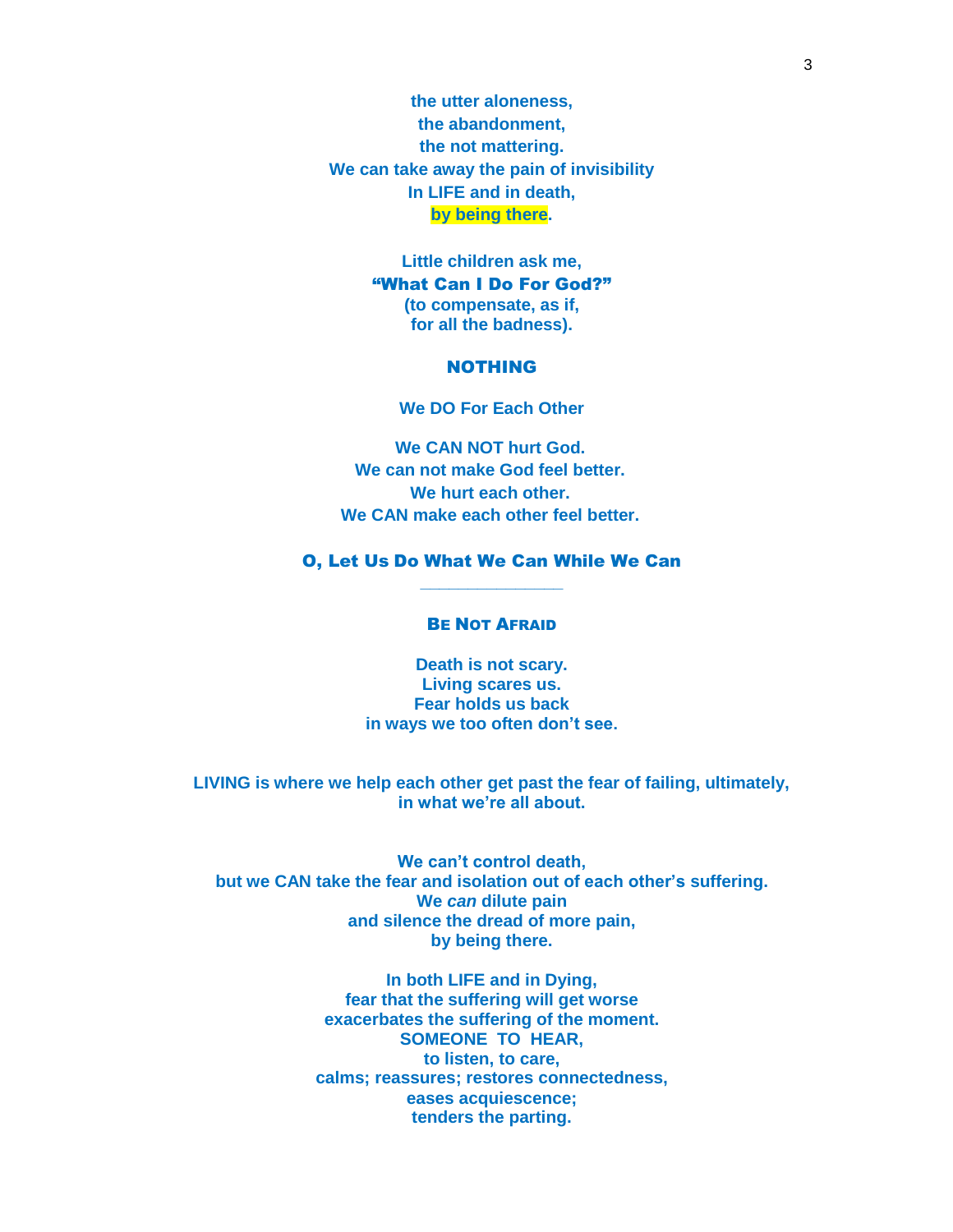**the utter aloneness, the abandonment, the not mattering. We can take away the pain of invisibility In LIFE and in death, by being there.**

> **Little children ask me,**  "What Can I Do For God?" **(to compensate, as if, for all the badness).**

# NOTHING

**We DO For Each Other**

**We CAN NOT hurt God. We can not make God feel better. We hurt each other. We CAN make each other feel better.**

## O, Let Us Do What We Can While We Can **\_\_\_\_\_\_\_\_\_\_\_\_\_\_\_**

### BE NOT AFRAID

**Death is not scary. Living scares us. Fear holds us back in ways we too often don't see.**

**LIVING is where we help each other get past the fear of failing, ultimately, in what we're all about.**

**We can't control death, but we CAN take the fear and isolation out of each other's suffering. We** *can* **dilute pain and silence the dread of more pain, by being there.**

> **In both LIFE and in Dying, fear that the suffering will get worse exacerbates the suffering of the moment. SOMEONE TO HEAR, to listen, to care, calms; reassures; restores connectedness, eases acquiescence; tenders the parting.**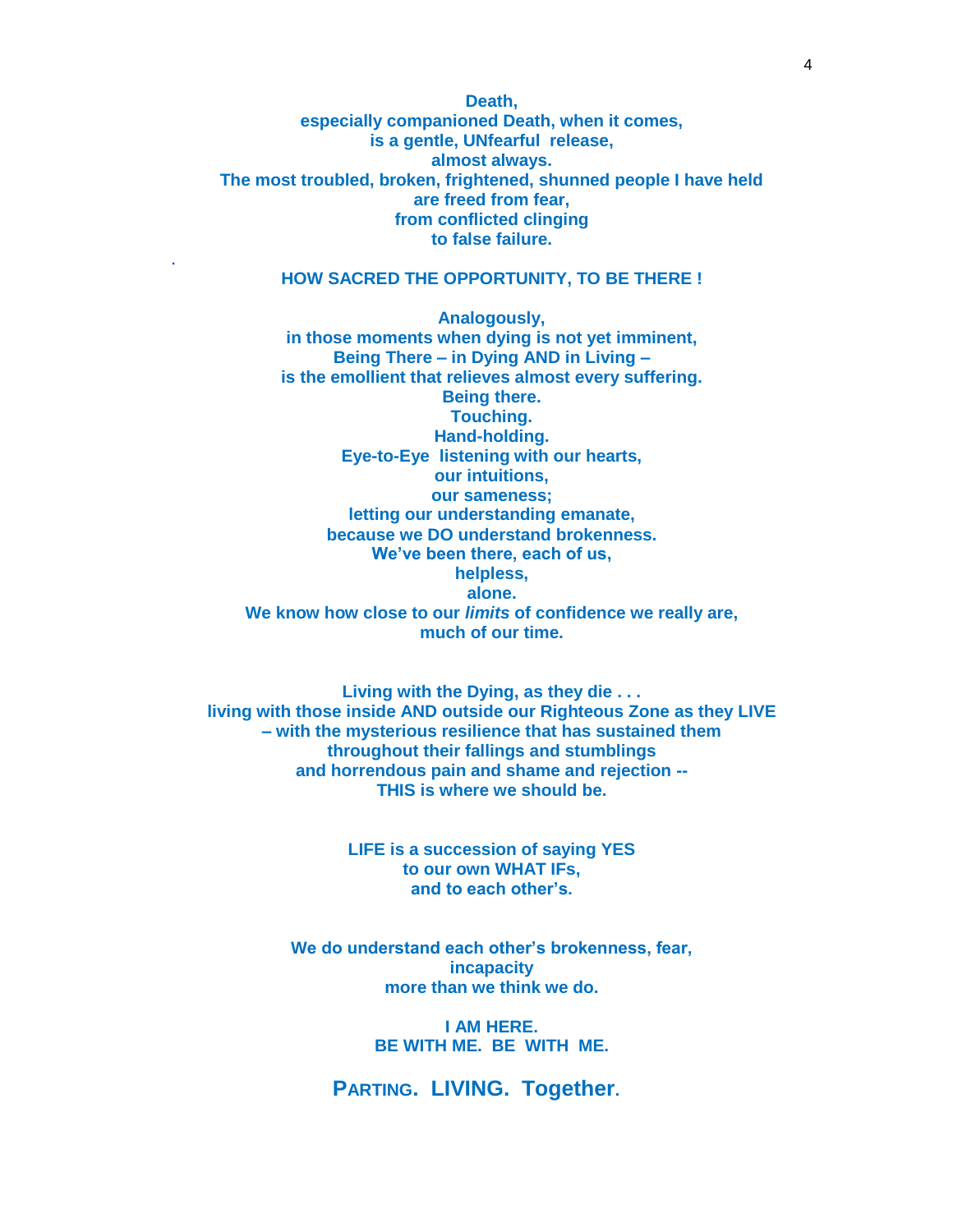**Death, especially companioned Death, when it comes, is a gentle, UNfearful release, almost always. The most troubled, broken, frightened, shunned people I have held are freed from fear, from conflicted clinging to false failure.**

### **HOW SACRED THE OPPORTUNITY, TO BE THERE !**

.

**Analogously, in those moments when dying is not yet imminent, Being There – in Dying AND in Living – is the emollient that relieves almost every suffering. Being there. Touching. Hand-holding. Eye-to-Eye listening with our hearts, our intuitions, our sameness; letting our understanding emanate, because we DO understand brokenness. We've been there, each of us, helpless, alone. We know how close to our** *limits* **of confidence we really are, much of our time.**

**Living with the Dying, as they die . . . living with those inside AND outside our Righteous Zone as they LIVE – with the mysterious resilience that has sustained them throughout their fallings and stumblings and horrendous pain and shame and rejection -- THIS is where we should be.**

> **LIFE is a succession of saying YES to our own WHAT IFs, and to each other's.**

**We do understand each other's brokenness, fear, incapacity more than we think we do.**

> **I AM HERE. BE WITH ME. BE WITH ME.**

**PARTING. LIVING. Together.**